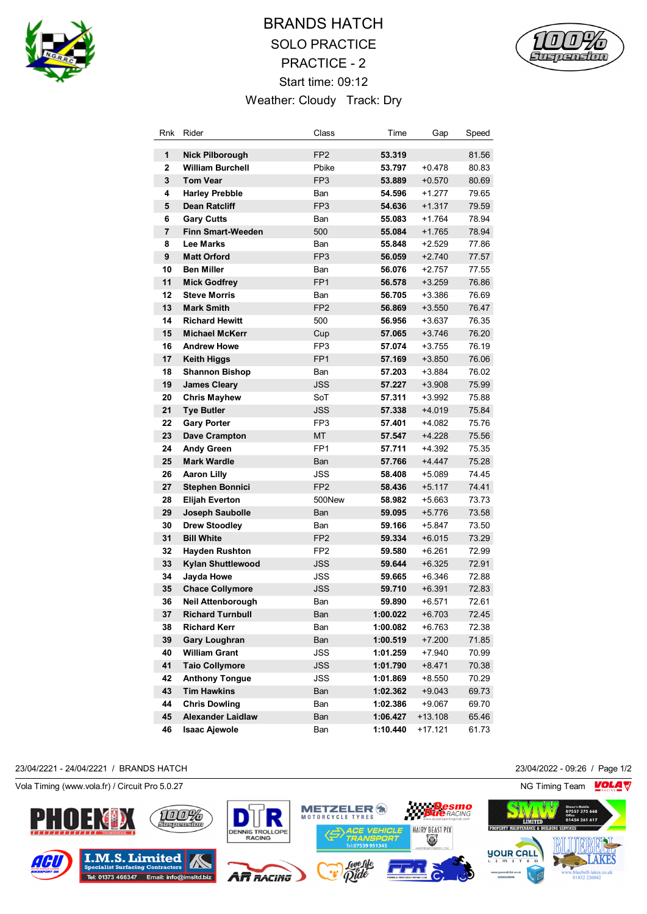

# BRANDS HATCH SOLO PRACTICE PRACTICE - 2 Start time: 09:12 Weather: Cloudy Track: Dry



| Rnk                     | Rider                    | Class           | Time     | Gap       | Speed |
|-------------------------|--------------------------|-----------------|----------|-----------|-------|
| 1                       | <b>Nick Pilborough</b>   | FP <sub>2</sub> | 53.319   |           | 81.56 |
| 2                       | <b>William Burchell</b>  | Pbike           | 53.797   | $+0.478$  | 80.83 |
| 3                       | <b>Tom Vear</b>          | FP <sub>3</sub> | 53.889   | $+0.570$  | 80.69 |
| 4                       | <b>Harley Prebble</b>    | Ban             | 54.596   | $+1.277$  | 79.65 |
| 5                       | <b>Dean Ratcliff</b>     | FP <sub>3</sub> | 54.636   | $+1.317$  | 79.59 |
| 6                       | <b>Gary Cutts</b>        | Ban             | 55.083   | $+1.764$  | 78.94 |
| $\overline{\mathbf{r}}$ | <b>Finn Smart-Weeden</b> | 500             | 55.084   | $+1.765$  | 78.94 |
| 8                       | <b>Lee Marks</b>         | Ban             | 55.848   | $+2.529$  | 77.86 |
| 9                       | <b>Matt Orford</b>       | FP <sub>3</sub> | 56.059   | $+2.740$  | 77.57 |
| 10                      | <b>Ben Miller</b>        | Ban             | 56.076   | +2.757    | 77.55 |
| 11                      | <b>Mick Godfrey</b>      | FP <sub>1</sub> | 56.578   | $+3.259$  | 76.86 |
| 12                      | <b>Steve Morris</b>      | Ban             | 56.705   | +3.386    | 76.69 |
| 13                      | <b>Mark Smith</b>        | FP <sub>2</sub> | 56.869   | $+3.550$  | 76.47 |
| 14                      | <b>Richard Hewitt</b>    | 500             | 56.956   | +3.637    | 76.35 |
| 15                      | <b>Michael McKerr</b>    | Cup             | 57.065   | $+3.746$  | 76.20 |
| 16                      | <b>Andrew Howe</b>       | FP3             | 57.074   | $+3.755$  | 76.19 |
| 17                      | Keith Higgs              | FP <sub>1</sub> | 57.169   | $+3.850$  | 76.06 |
| 18                      | <b>Shannon Bishop</b>    | Ban             | 57.203   | +3.884    | 76.02 |
| 19                      | <b>James Cleary</b>      | JSS             | 57.227   | $+3.908$  | 75.99 |
| 20                      | <b>Chris Mayhew</b>      | SoT             | 57.311   | +3.992    | 75.88 |
| 21                      | Tye Butler               | JSS             | 57.338   | $+4.019$  | 75.84 |
| 22                      | <b>Gary Porter</b>       | FP <sub>3</sub> | 57.401   | +4.082    | 75.76 |
| 23                      | <b>Dave Crampton</b>     | <b>MT</b>       | 57.547   | +4.228    | 75.56 |
| 24                      | <b>Andy Green</b>        | FP <sub>1</sub> | 57.711   | +4.392    | 75.35 |
| 25                      | <b>Mark Wardle</b>       | Ban             | 57.766   | +4.447    | 75.28 |
| 26                      | <b>Aaron Lilly</b>       | JSS             | 58.408   | $+5.089$  | 74.45 |
| 27                      | <b>Stephen Bonnici</b>   | FP <sub>2</sub> | 58.436   | +5.117    | 74.41 |
| 28                      | <b>Elijah Everton</b>    | 500New          | 58.982   | +5.663    | 73.73 |
| 29                      | Joseph Saubolle          | Ban             | 59.095   | $+5.776$  | 73.58 |
| 30                      | <b>Drew Stoodley</b>     | Ban             | 59.166   | +5.847    | 73.50 |
| 31                      | <b>Bill White</b>        | FP <sub>2</sub> | 59.334   | $+6.015$  | 73.29 |
| 32                      | <b>Hayden Rushton</b>    | FP <sub>2</sub> | 59.580   | +6.261    | 72.99 |
| 33                      | <b>Kylan Shuttlewood</b> | <b>JSS</b>      | 59.644   | $+6.325$  | 72.91 |
| 34                      | Jayda Howe               | JSS             | 59.665   | $+6.346$  | 72.88 |
| 35                      | <b>Chace Collymore</b>   | <b>JSS</b>      | 59.710   | $+6.391$  | 72.83 |
| 36                      | Neil Attenborough        | Ban             | 59.890   | +6.571    | 72.61 |
| 37                      | <b>Richard Turnbull</b>  | Ban             | 1:00.022 | $+6.703$  | 72.45 |
| 38                      | <b>Richard Kerr</b>      | Ban             | 1:00.082 | $+6.763$  | 72.38 |
| 39                      | <b>Gary Loughran</b>     | Ban             | 1:00.519 | $+7.200$  | 71.85 |
| 40                      | <b>William Grant</b>     | JSS             | 1:01.259 | +7.940    | 70.99 |
| 41                      | Taio Collymore           | <b>JSS</b>      | 1:01.790 | $+8.471$  | 70.38 |
| 42                      | <b>Anthony Tongue</b>    | JSS             | 1:01.869 | +8.550    | 70.29 |
| 43                      | <b>Tim Hawkins</b>       | Ban             | 1:02.362 | $+9.043$  | 69.73 |
| 44                      | <b>Chris Dowling</b>     | Ban             | 1:02.386 | +9.067    | 69.70 |
| 45                      | <b>Alexander Laidlaw</b> | Ban             | 1:06.427 | $+13.108$ | 65.46 |
| 46                      | <b>Isaac Ajewole</b>     | Ban             | 1:10.440 | +17.121   | 61.73 |

#### 23/04/2221 - 24/04/2221 / BRANDS HATCH 23/04/2022 - 09:26 / Page 1/2

Vola Timing (www.vola.fr) / Circuit Pro 5.0.27 NG Timing Team NG Timing Team NG Timing Team NG Timing Team NG

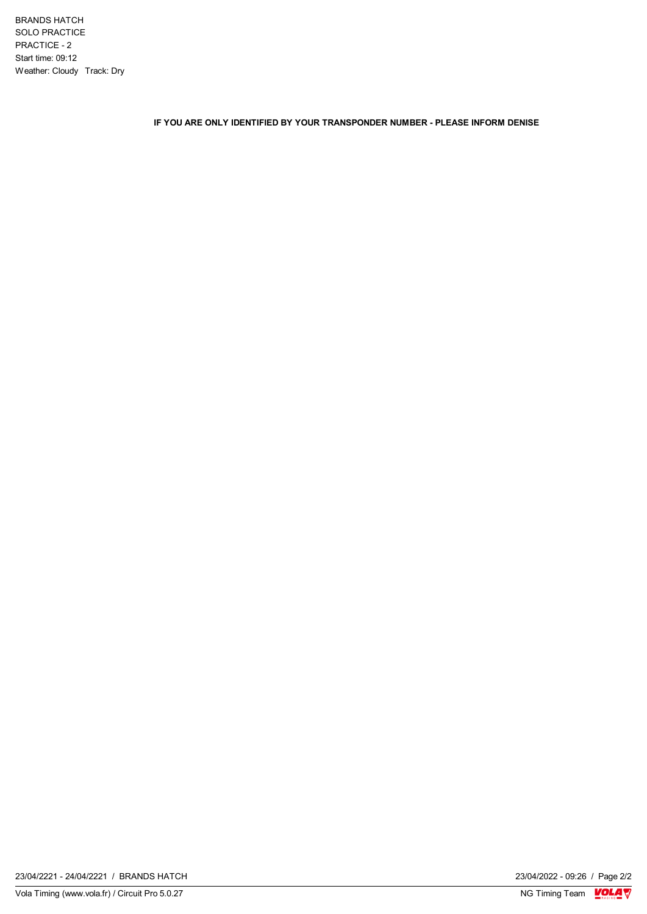BRANDS HATCH SOLO PRACTICE PRACTICE - 2 Start time: 09:12 Weather: Cloudy Track: Dry

**IF YOU ARE ONLY IDENTIFIED BY YOUR TRANSPONDER NUMBER - PLEASE INFORM DENISE**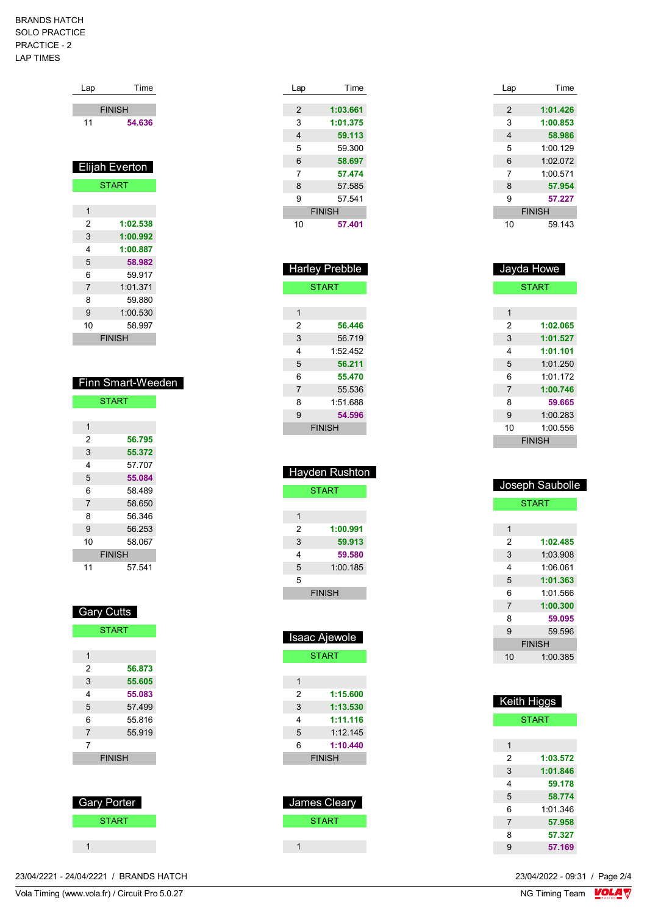### BRANDS HATCH SOLO PRACTICE PRACTICE - 2 LAP TIMES

| Lap           | Time                  |  |  |
|---------------|-----------------------|--|--|
|               |                       |  |  |
|               | <b>FINISH</b>         |  |  |
| 11            | 54.636                |  |  |
|               |                       |  |  |
|               |                       |  |  |
|               | <b>Elijah Everton</b> |  |  |
|               | <b>START</b>          |  |  |
|               |                       |  |  |
| 1             |                       |  |  |
| 2             | 1:02.538              |  |  |
| 3             | 1:00.992              |  |  |
| 4             | 1:00.887              |  |  |
| 5             | 58.982                |  |  |
| 6             | 59.917                |  |  |
| 7             | 1:01.371              |  |  |
| 8             | 59.880                |  |  |
| 9             | 1:00.530              |  |  |
| 10            | 58.997                |  |  |
| <b>FINISH</b> |                       |  |  |

| Finn Smart-Weeden |
|-------------------|
|-------------------|

| <b>START</b>   |        |  |
|----------------|--------|--|
|                |        |  |
| 1              |        |  |
| 2              | 56.795 |  |
| 3              | 55.372 |  |
| 4              | 57.707 |  |
| 5              | 55.084 |  |
| 6              | 58.489 |  |
| $\overline{7}$ | 58.650 |  |
| 8              | 56.346 |  |
| 9              | 56.253 |  |
| 10             | 58.067 |  |
| <b>FINISH</b>  |        |  |
| 11             | 57.541 |  |

| 1I | ı<br>ı<br>ı |
|----|-------------|

| <b>START</b> |               |  |
|--------------|---------------|--|
|              |               |  |
| 1            |               |  |
| 2            | 56.873        |  |
| 3            | 55.605        |  |
| 4            | 55.083        |  |
| 5            | 57.499        |  |
| 6            | 55.816        |  |
| 7            | 55.919        |  |
| 7            |               |  |
|              | <b>FINISH</b> |  |
|              |               |  |

| Gary Porter  |  |
|--------------|--|
| <b>START</b> |  |
|              |  |
|              |  |

| -  |                       |
|----|-----------------------|
| 3  | 1:01.375              |
| 4  | 59.113                |
| 5  | 59.300                |
| 6  | 58.697                |
| 7  | 57.474                |
| 8  | 57.585                |
| 9  | 57.541                |
|    | <b>FINISH</b>         |
| 10 | 57.401                |
|    |                       |
|    |                       |
|    |                       |
|    | <b>Harley Prebble</b> |

Lap Time **1:03.661**

| <b>START</b>  |          |  |
|---------------|----------|--|
|               |          |  |
| 1             |          |  |
| 2             | 56.446   |  |
| 3             | 56.719   |  |
| 4             | 1:52.452 |  |
| 5             | 56.211   |  |
| 6             | 55.470   |  |
| 7             | 55.536   |  |
| 8             | 1:51.688 |  |
| 9             | 54.596   |  |
| <b>FINISH</b> |          |  |

| Hayden Rushton |          |  |
|----------------|----------|--|
| <b>START</b>   |          |  |
|                |          |  |
| 1              |          |  |
| 2              | 1:00.991 |  |
| 3              | 59.913   |  |
| 4              | 59.580   |  |
| 5              | 1:00.185 |  |
| 5              |          |  |
| <b>FINISH</b>  |          |  |
|                |          |  |

| Isaac Ajewole |              |  |
|---------------|--------------|--|
|               | <b>START</b> |  |
|               |              |  |
| 1             |              |  |
| 2             | 1:15.600     |  |
| 3             | 1:13.530     |  |
| 4             | 1:11.116     |  |
| 5             | $1.12$ 145   |  |
| 6             | 1:10.440     |  |
| <b>FINISH</b> |              |  |
|               |              |  |
|               |              |  |
|               |              |  |
| James Cleary  |              |  |
| <b>START</b>  |              |  |

| Lap | Time          |
|-----|---------------|
|     |               |
| 2   | 1:01.426      |
| 3   | 1:00.853      |
| 4   | 58.986        |
| 5   | 1:00.129      |
| 6   | 1:02.072      |
| 7   | 1:00.571      |
| 8   | 57.954        |
| 9   | 57.227        |
|     | <b>FINISH</b> |
| 10  | 59.143        |

|                | Jayda Howe    |
|----------------|---------------|
|                | <b>START</b>  |
|                |               |
| 1              |               |
| 2              | 1:02.065      |
| 3              | 1:01.527      |
| 4              | 1:01.101      |
| 5              | 1:01.250      |
| 6              | 1.01172       |
| $\overline{7}$ | 1:00.746      |
| 8              | 59.665        |
| 9              | 1:00.283      |
| 10             | 1:00.556      |
|                | <b>FINISH</b> |

|                | Joseph Saubolle |
|----------------|-----------------|
|                | <b>START</b>    |
|                |                 |
| 1              |                 |
| 2              | 1:02.485        |
| 3              | 1:03.908        |
| 4              | 1:06.061        |
| 5              | 1:01.363        |
| 6              | 1:01.566        |
| $\overline{7}$ | 1:00.300        |
| 8              | 59.095          |
| 9              | 59 596          |
|                | <b>FINISH</b>   |
| 10             | 1:00.385        |

| Keith Higgs    |              |
|----------------|--------------|
|                | <b>START</b> |
|                |              |
| 1              |              |
| 2              | 1:03.572     |
| 3              | 1:01.846     |
| 4              | 59.178       |
| 5              | 58.774       |
| 6              | 1.01.346     |
| $\overline{7}$ | 57.958       |
| 8              | 57.327       |
| 9              | 57.169       |

23/04/2221 - 24/04/2221 / BRANDS HATCH

Vola Timing (www.vola.fr) / Circuit Pro 5.0.27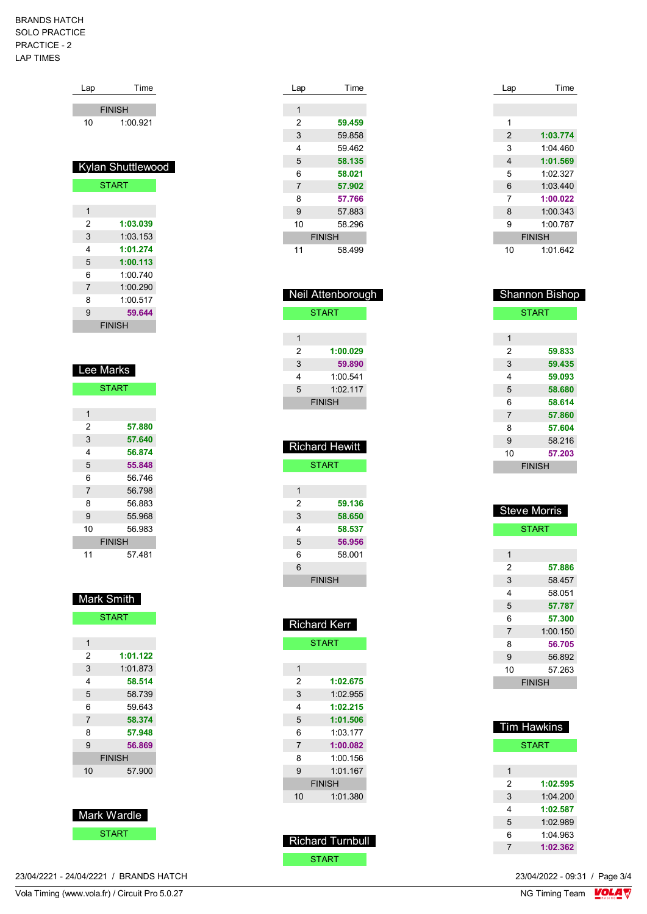### BRANDS HATCH SOLO PRACTICE PRACTICE - 2 LAP TIMES

| Lap | Time              |
|-----|-------------------|
|     |                   |
|     | <b>FINISH</b>     |
| 10  | 1:00.921          |
|     |                   |
|     |                   |
|     | Kylan Shuttlewood |
|     |                   |
|     | <b>START</b>      |
|     |                   |
| 1   |                   |
| 2   | 1:03.039          |
| 3   | 1:03.153          |
| 4   | 1:01.274          |
| 5   | 1:00.113          |
| 6   | 1:00.740          |
| 7   | 1:00.290          |
| 8   | 1:00.517          |

 **59.644** FINISH

| <b>Lee Marks</b> |               |
|------------------|---------------|
|                  | <b>START</b>  |
|                  |               |
| 1                |               |
| 2                | 57.880        |
| 3                | 57.640        |
| 4                | 56.874        |
| 5                | 55.848        |
| 6                | 56.746        |
| 7                | 56.798        |
| 8                | 56.883        |
| 9                | 55.968        |
| 10               | 56.983        |
|                  | <b>FINISH</b> |
| 11               | 57.481        |

| <b>Mark Smith</b> |               |
|-------------------|---------------|
|                   | <b>START</b>  |
|                   |               |
| 1                 |               |
| 2                 | 1:01.122      |
| 3                 | 1:01.873      |
| 4                 | 58.514        |
| 5                 | 58.739        |
| 6                 | 59 643        |
| 7                 | 58.374        |
| 8                 | 57.948        |
| 9                 | 56.869        |
|                   | <b>FINISH</b> |
| 10                | 57.900        |
|                   |               |



VolaSoftControlPdf 23/04/2221 - 24/04/2221 / BRANDS HATCH 23/04/2022 - 09:31 / Page 3/4

| 221 - 24/04/2221 / BRANDS HAT( |
|--------------------------------|

| Lap | Time          |
|-----|---------------|
|     |               |
| 1   |               |
| 2   | 59.459        |
| 3   | 59.858        |
| 4   | 59.462        |
| 5   | 58.135        |
| 6   | 58.021        |
| 7   | 57.902        |
| 8   | 57.766        |
| 9   | 57.883        |
| 10  | 58.296        |
|     | <b>FINISH</b> |
| 11  | 58.499        |

|   | Neil Attenborough     |  |
|---|-----------------------|--|
|   | <b>START</b>          |  |
|   |                       |  |
| 1 |                       |  |
| 2 | 1:00.029              |  |
| 3 | 59.890                |  |
| 4 | 1:00.541              |  |
| 5 | 1.02117               |  |
|   | <b>FINISH</b>         |  |
|   |                       |  |
|   |                       |  |
|   | <b>Richard Hewitt</b> |  |
|   |                       |  |
|   | <b>START</b>          |  |
|   |                       |  |
| 1 |                       |  |
| 2 | 59.136                |  |

| 2 | 59.136        |  |
|---|---------------|--|
| 3 | 58.650        |  |
| 4 | 58.537        |  |
| 5 | 56.956        |  |
| 6 | 58.001        |  |
| 6 |               |  |
|   | <b>FINISH</b> |  |

|    | <b>Richard Kerr</b> |
|----|---------------------|
|    | <b>START</b>        |
|    |                     |
| 1  |                     |
| 2  | 1:02.675            |
| 3  | 1:02.955            |
| 4  | 1:02.215            |
| 5  | 1:01.506            |
| 6  | 1:03:177            |
| 7  | 1:00.082            |
| 8  | 1:00.156            |
| 9  | 1:01.167            |
|    | <b>FINISH</b>       |
| 10 | 1:01.380            |
|    |                     |

| <b>Richard Turnbull</b> |  |
|-------------------------|--|
| START                   |  |

| Lap | Time          |
|-----|---------------|
|     |               |
|     |               |
| 1   |               |
| 2   | 1:03.774      |
| 3   | 1:04 460      |
| 4   | 1:01.569      |
| 5   | 1:02.327      |
| 6   | 1:03.440      |
| 7   | 1:00.022      |
| 8   | 1:00.343      |
| 9   | 1:00.787      |
|     | <b>FINISH</b> |
| 10  | 1:01.642      |

| <b>Shannon Bishop</b> |        |  |  |  |
|-----------------------|--------|--|--|--|
| <b>START</b>          |        |  |  |  |
|                       |        |  |  |  |
| 1                     |        |  |  |  |
| 2                     | 59.833 |  |  |  |
| 3                     | 59.435 |  |  |  |
| 4                     | 59.093 |  |  |  |
| 5                     | 58.680 |  |  |  |
| 6                     | 58.614 |  |  |  |
| 7                     | 57.860 |  |  |  |
| 8                     | 57.604 |  |  |  |
| 9                     | 58.216 |  |  |  |
| 10                    | 57.203 |  |  |  |
| <b>FINISH</b>         |        |  |  |  |

| <b>Steve Morris</b> |          |  |  |
|---------------------|----------|--|--|
| <b>START</b>        |          |  |  |
|                     |          |  |  |
| 1                   |          |  |  |
| 2                   | 57.886   |  |  |
| 3                   | 58.457   |  |  |
| 4                   | 58.051   |  |  |
| 5                   | 57.787   |  |  |
| 6                   | 57.300   |  |  |
| $\overline{7}$      | 1:00.150 |  |  |
| 8                   | 56.705   |  |  |
| 9                   | 56.892   |  |  |
| 10                  | 57.263   |  |  |
| FINISH              |          |  |  |

| <b>Tim Hawkins</b> |          |  |  |  |
|--------------------|----------|--|--|--|
| <b>START</b>       |          |  |  |  |
|                    |          |  |  |  |
| 1                  |          |  |  |  |
| 2                  | 1:02.595 |  |  |  |
| 3                  | 1.04200  |  |  |  |
| 4                  | 1:02.587 |  |  |  |
| 5                  | 1.02989  |  |  |  |
| 6                  | 1:04.963 |  |  |  |
| 7                  | 1:02.362 |  |  |  |